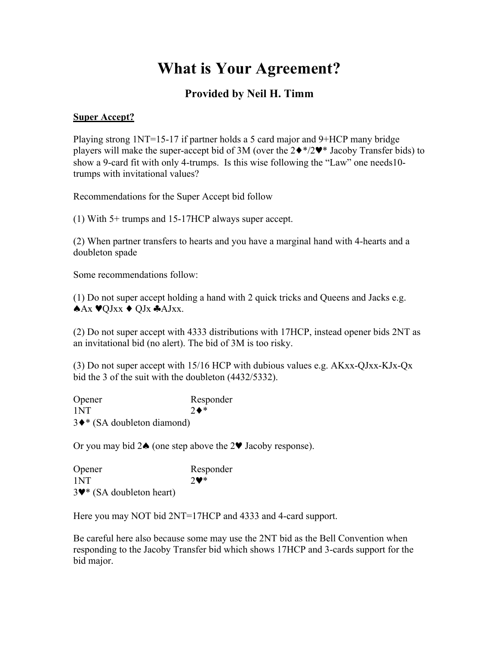## **What is Your Agreement?**

## **Provided by Neil H. Timm**

## **Super Accept?**

Playing strong 1NT=15-17 if partner holds a 5 card major and 9+HCP many bridge players will make the super-accept bid of 3M (over the  $2\cdot\sqrt[8]{2\cdot\sqrt[8]{}}$  Jacoby Transfer bids) to show a 9-card fit with only 4-trumps. Is this wise following the "Law" one needs10 trumps with invitational values?

Recommendations for the Super Accept bid follow

(1) With 5+ trumps and 15-17HCP always super accept.

(2) When partner transfers to hearts and you have a marginal hand with 4-hearts and a doubleton spade

Some recommendations follow:

(1) Do not super accept holding a hand with 2 quick tricks and Queens and Jacks e.g. ♠Ax ♥QJxx ♦ QJx ♣AJxx.

(2) Do not super accept with 4333 distributions with 17HCP, instead opener bids 2NT as an invitational bid (no alert). The bid of 3M is too risky.

(3) Do not super accept with 15/16 HCP with dubious values e.g. AKxx-QJxx-KJx-Qx bid the 3 of the suit with the doubleton (4432/5332).

| Opener                       | Responder     |
|------------------------------|---------------|
| 1NT                          | $2 \bullet^*$ |
| 3 ♦ * (SA doubleton diamond) |               |

Or you may bid 2♠ (one step above the 2♥ Jacoby response).

| Opener                    | Responder               |
|---------------------------|-------------------------|
| 1NT                       | $2\blacktriangledown^*$ |
| 3♥ * (SA doubleton heart) |                         |

Here you may NOT bid 2NT=17HCP and 4333 and 4-card support.

Be careful here also because some may use the 2NT bid as the Bell Convention when responding to the Jacoby Transfer bid which shows 17HCP and 3-cards support for the bid major.